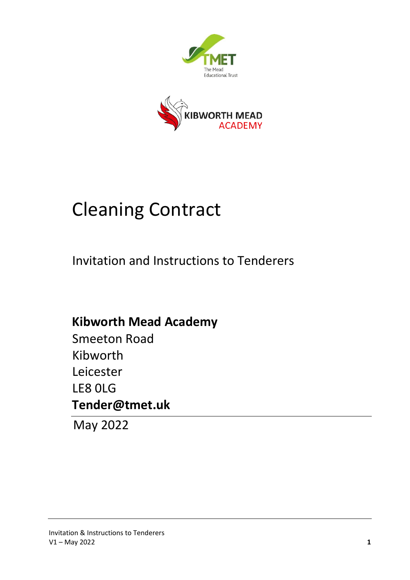



## Cleaning Contract

Invitation and Instructions to Tenderers

**Kibworth Mead Academy** Smeeton Road Kibworth Leicester LE8 0LG **Tender@tmet.uk**

May 2022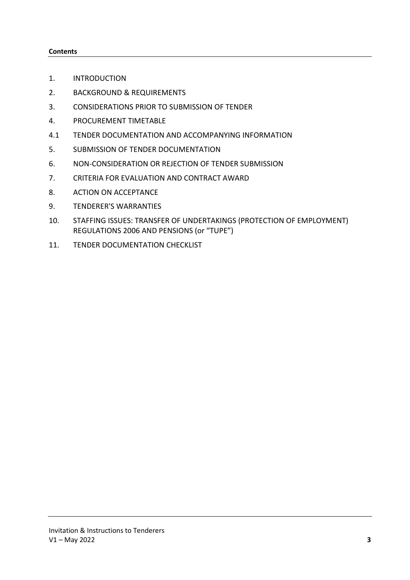#### **Contents**

- 1. INTRODUCTION
- 2. BACKGROUND & REQUIREMENTS
- 3. CONSIDERATIONS PRIOR TO SUBMISSION OF TENDER
- 4. PROCUREMENT TIMETABLE
- 4.1 TENDER DOCUMENTATION AND ACCOMPANYING INFORMATION
- 5. SUBMISSION OF TENDER DOCUMENTATION
- 6. NON-CONSIDERATION OR REJECTION OF TENDER SUBMISSION
- 7. CRITERIA FOR EVALUATION AND CONTRACT AWARD
- 8. ACTION ON ACCEPTANCE
- 9. TENDERER'S WARRANTIES
- 10. STAFFING ISSUES: TRANSFER OF UNDERTAKINGS (PROTECTION OF EMPLOYMENT) REGULATIONS 2006 AND PENSIONS (or "TUPE")
- 11. TENDER DOCUMENTATION CHECKLIST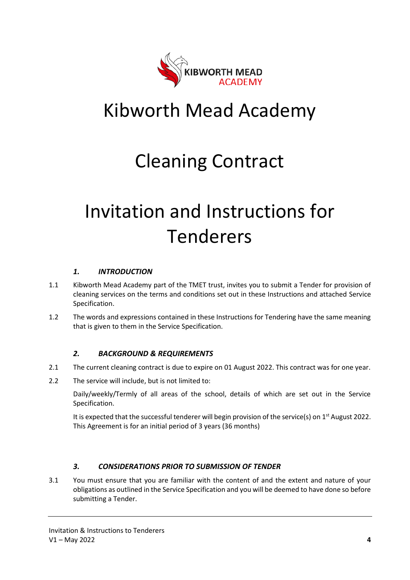

## Kibworth Mead Academy

## Cleaning Contract

# Invitation and Instructions for Tenderers

### *1. INTRODUCTION*

- 1.1 Kibworth Mead Academy part of the TMET trust, invites you to submit a Tender for provision of cleaning services on the terms and conditions set out in these Instructions and attached Service Specification.
- 1.2 The words and expressions contained in these Instructions for Tendering have the same meaning that is given to them in the Service Specification.

#### *2. BACKGROUND & REQUIREMENTS*

- 2.1 The current cleaning contract is due to expire on 01 August 2022. This contract was for one year.
- 2.2 The service will include, but is not limited to:

Daily/weekly/Termly of all areas of the school, details of which are set out in the Service Specification.

It is expected that the successful tenderer will begin provision of the service(s) on  $1<sup>st</sup>$  August 2022. This Agreement is for an initial period of 3 years (36 months)

#### *3. CONSIDERATIONS PRIOR TO SUBMISSION OF TENDER*

3.1 You must ensure that you are familiar with the content of and the extent and nature of your obligations as outlined in the Service Specification and you will be deemed to have done so before submitting a Tender.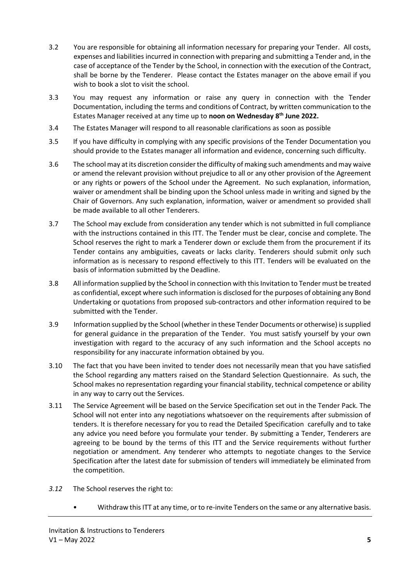- 3.2 You are responsible for obtaining all information necessary for preparing your Tender. All costs, expenses and liabilities incurred in connection with preparing and submitting a Tender and, in the case of acceptance of the Tender by the School, in connection with the execution of the Contract, shall be borne by the Tenderer. Please contact the Estates manager on the above email if you wish to book a slot to visit the school.
- 3.3 You may request any information or raise any query in connection with the Tender Documentation, including the terms and conditions of Contract, by written communication to the Estates Manager received at any time up to **noon on Wednesday 8 th June 2022.**
- 3.4 The Estates Manager will respond to all reasonable clarifications as soon as possible
- 3.5 If you have difficulty in complying with any specific provisions of the Tender Documentation you should provide to the Estates manager all information and evidence, concerning such difficulty.
- 3.6 The school may at its discretion consider the difficulty of making such amendments and may waive or amend the relevant provision without prejudice to all or any other provision of the Agreement or any rights or powers of the School under the Agreement. No such explanation, information, waiver or amendment shall be binding upon the School unless made in writing and signed by the Chair of Governors. Any such explanation, information, waiver or amendment so provided shall be made available to all other Tenderers.
- 3.7 The School may exclude from consideration any tender which is not submitted in full compliance with the instructions contained in this ITT. The Tender must be clear, concise and complete. The School reserves the right to mark a Tenderer down or exclude them from the procurement if its Tender contains any ambiguities, caveats or lacks clarity. Tenderers should submit only such information as is necessary to respond effectively to this ITT. Tenders will be evaluated on the basis of information submitted by the Deadline.
- 3.8 All information supplied by the School in connection with this Invitation to Tender must be treated as confidential, except where such information is disclosed for the purposes of obtaining any Bond Undertaking or quotations from proposed sub-contractors and other information required to be submitted with the Tender.
- 3.9 Information supplied by the School (whether in these Tender Documents or otherwise) is supplied for general guidance in the preparation of the Tender. You must satisfy yourself by your own investigation with regard to the accuracy of any such information and the School accepts no responsibility for any inaccurate information obtained by you.
- 3.10 The fact that you have been invited to tender does not necessarily mean that you have satisfied the School regarding any matters raised on the Standard Selection Questionnaire. As such, the School makes no representation regarding your financial stability, technical competence or ability in any way to carry out the Services.
- 3.11 The Service Agreement will be based on the Service Specification set out in the Tender Pack. The School will not enter into any negotiations whatsoever on the requirements after submission of tenders. It is therefore necessary for you to read the Detailed Specification carefully and to take any advice you need before you formulate your tender. By submitting a Tender, Tenderers are agreeing to be bound by the terms of this ITT and the Service requirements without further negotiation or amendment. Any tenderer who attempts to negotiate changes to the Service Specification after the latest date for submission of tenders will immediately be eliminated from the competition.
- *3.12* The School reserves the right to:
	- Withdraw this ITT at any time, or to re-invite Tenders on the same or any alternative basis.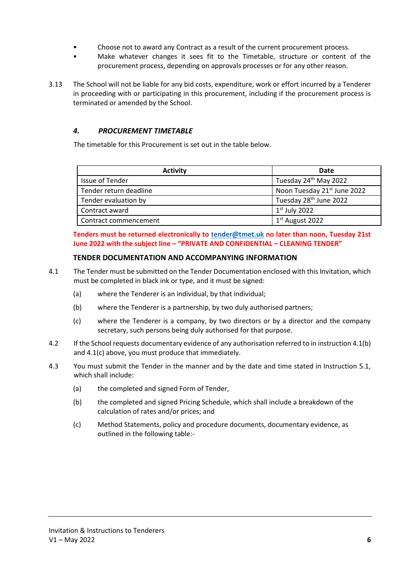- Choose not to award any Contract as a result of the current procurement process.
- Make whatever changes it sees fit to the Timetable, structure or content of the procurement process, depending on approvals processes or for any other reason.
- 3.13 The School will not be liable for any bid costs, expenditure, work or effort incurred by a Tenderer in proceeding with or participating in this procurement, including if the procurement process is terminated or amended by the School.

### *4. PROCUREMENT TIMETABLE*

The timetable for this Procurement is set out in the table below.

| <b>Activity</b>        | Date                                    |  |  |
|------------------------|-----------------------------------------|--|--|
| <b>Issue of Tender</b> | Tuesday 24 <sup>th</sup> May 2022       |  |  |
| Tender return deadline | Noon Tuesday 21 <sup>st</sup> June 2022 |  |  |
| Tender evaluation by   | Tuesday 28 <sup>th</sup> June 2022      |  |  |
| Contract award         | $1st$ July 2022                         |  |  |
| Contract commencement  | $1st$ August 2022                       |  |  |

**Tenders must be returned electronically to [tender@tmet.uk](mailto:tender@tmet.uk) no later than noon, Tuesday 21st June 2022 with the subject line – "PRIVATE AND CONFIDENTIAL – CLEANING TENDER"**

#### **TENDER DOCUMENTATION AND ACCOMPANYING INFORMATION**

- 4.1 The Tender must be submitted on the Tender Documentation enclosed with this Invitation, which must be completed in black ink or type, and it must be signed:
	- (a) where the Tenderer is an individual, by that individual;
	- (b) where the Tenderer is a partnership, by two duly authorised partners;
	- (c) where the Tenderer is a company, by two directors or by a director and the company secretary, such persons being duly authorised for that purpose.
- 4.2 If the School requests documentary evidence of any authorisation referred to in instruction 4.1(b) and 4.1(c) above, you must produce that immediately.
- 4.3 You must submit the Tender in the manner and by the date and time stated in Instruction 5.1, which shall include:
	- (a) the completed and signed Form of Tender,
	- (b) the completed and signed Pricing Schedule, which shall include a breakdown of the calculation of rates and/or prices; and
	- (c) Method Statements, policy and procedure documents, documentary evidence, as outlined in the following table:-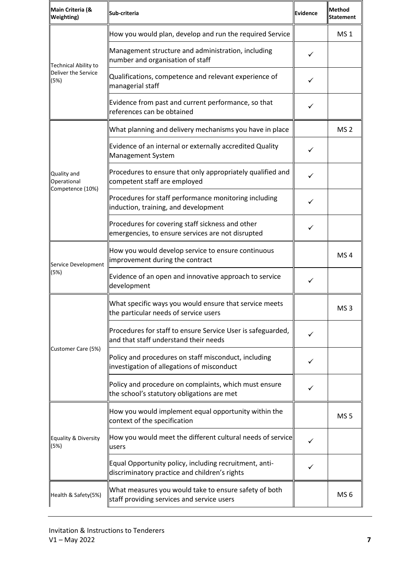| Main Criteria (&<br><b>Weighting</b> )         | Sub-criteria                                                                                            | Evidence | Method<br><b>Statement</b> |
|------------------------------------------------|---------------------------------------------------------------------------------------------------------|----------|----------------------------|
| <b>Technical Ability to</b>                    | How you would plan, develop and run the required Service                                                |          | MS <sub>1</sub>            |
|                                                | Management structure and administration, including<br>number and organisation of staff                  | ✓        |                            |
| Deliver the Service<br>(5%)                    | Qualifications, competence and relevant experience of<br>managerial staff                               |          |                            |
|                                                | Evidence from past and current performance, so that<br>references can be obtained                       | ✓        |                            |
|                                                | What planning and delivery mechanisms you have in place                                                 |          | MS <sub>2</sub>            |
|                                                | Evidence of an internal or externally accredited Quality<br>Management System                           | ✓        |                            |
| Quality and<br>Operational<br>Competence (10%) | Procedures to ensure that only appropriately qualified and<br>competent staff are employed              | ✓        |                            |
|                                                | Procedures for staff performance monitoring including<br>induction, training, and development           | ✓        |                            |
|                                                | Procedures for covering staff sickness and other<br>emergencies, to ensure services are not disrupted   | ✓        |                            |
| Service Development                            | How you would develop service to ensure continuous<br>improvement during the contract                   |          | MS <sub>4</sub>            |
| (5%)                                           | Evidence of an open and innovative approach to service<br>development                                   | ✓        |                            |
|                                                | What specific ways you would ensure that service meets<br>the particular needs of service users         |          | MS <sub>3</sub>            |
|                                                | Procedures for staff to ensure Service User is safeguarded,<br>and that staff understand their needs    |          |                            |
| Customer Care (5%)                             | Policy and procedures on staff misconduct, including<br>investigation of allegations of misconduct      |          |                            |
|                                                | Policy and procedure on complaints, which must ensure<br>the school's statutory obligations are met     | ✓        |                            |
|                                                | How you would implement equal opportunity within the<br>context of the specification                    |          | MS <sub>5</sub>            |
| Equality & Diversity<br>(5%)                   | $\parallel$ How you would meet the different cultural needs of service $\parallel$<br>users             | ✓        |                            |
|                                                | Equal Opportunity policy, including recruitment, anti-<br>discriminatory practice and children's rights | ✓        |                            |
| Health & Safety(5%)                            | What measures you would take to ensure safety of both<br>staff providing services and service users     |          | MS <sub>6</sub>            |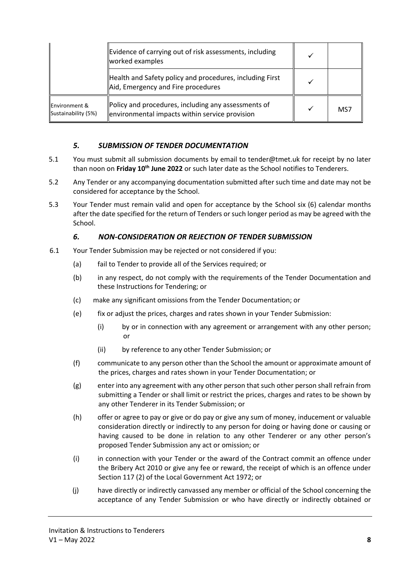|                                                 | Evidence of carrying out of risk assessments, including<br>worked examples                            |     |
|-------------------------------------------------|-------------------------------------------------------------------------------------------------------|-----|
|                                                 | Health and Safety policy and procedures, including First<br>Aid, Emergency and Fire procedures        |     |
| <b>Environment &amp;</b><br>Sustainability (5%) | Policy and procedures, including any assessments of<br>environmental impacts within service provision | MS7 |

### *5. SUBMISSION OF TENDER DOCUMENTATION*

- 5.1 You must submit all submission documents by email to tender@tmet.uk for receipt by no later than noon on **Friday 10th June 2022** or such later date as the School notifies to Tenderers.
- 5.2 Any Tender or any accompanying documentation submitted after such time and date may not be considered for acceptance by the School.
- 5.3 Your Tender must remain valid and open for acceptance by the School six (6) calendar months after the date specified for the return of Tenders or such longer period as may be agreed with the School.

#### *6. NON-CONSIDERATION OR REJECTION OF TENDER SUBMISSION*

- 6.1 Your Tender Submission may be rejected or not considered if you:
	- (a) fail to Tender to provide all of the Services required; or
	- (b) in any respect, do not comply with the requirements of the Tender Documentation and these Instructions for Tendering; or
	- (c)make any significant omissions from the Tender Documentation; or
	- (e) fix or adjust the prices, charges and rates shown in your Tender Submission:
		- (i) by or in connection with any agreement or arrangement with any other person; or
		- (ii) by reference to any other Tender Submission; or
	- (f) communicate to any person other than the School the amount or approximate amount of the prices, charges and rates shown in your Tender Documentation; or
	- (g) enter into any agreement with any other person that such other person shall refrain from submitting a Tender or shall limit or restrict the prices, charges and rates to be shown by any other Tenderer in its Tender Submission; or
	- (h) offer or agree to pay or give or do pay or give any sum of money, inducement or valuable consideration directly or indirectly to any person for doing or having done or causing or having caused to be done in relation to any other Tenderer or any other person's proposed Tender Submission any act or omission; or
	- (i) in connection with your Tender or the award of the Contract commit an offence under the Bribery Act 2010 or give any fee or reward, the receipt of which is an offence under Section 117 (2) of the Local Government Act 1972; or
	- (j) have directly or indirectly canvassed any member or official of the School concerning the acceptance of any Tender Submission or who have directly or indirectly obtained or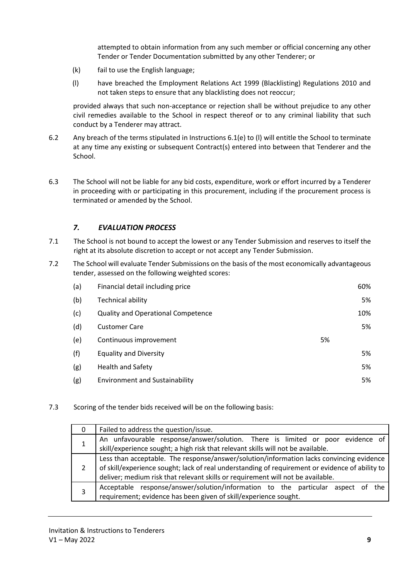attempted to obtain information from any such member or official concerning any other Tender or Tender Documentation submitted by any other Tenderer; or

- (k) fail to use the English language;
- (l) have breached the Employment Relations Act 1999 (Blacklisting) Regulations 2010 and not taken steps to ensure that any blacklisting does not reoccur;

provided always that such non-acceptance or rejection shall be without prejudice to any other civil remedies available to the School in respect thereof or to any criminal liability that such conduct by a Tenderer may attract.

- 6.2 Any breach of the terms stipulated in Instructions 6.1(e) to (l) will entitle the School to terminate at any time any existing or subsequent Contract(s) entered into between that Tenderer and the School.
- 6.3 The School will not be liable for any bid costs, expenditure, work or effort incurred by a Tenderer in proceeding with or participating in this procurement, including if the procurement process is terminated or amended by the School.

## *7. EVALUATION PROCESS*

- 7.1 The School is not bound to accept the lowest or any Tender Submission and reserves to itself the right at its absolute discretion to accept or not accept any Tender Submission.
- 7.2 The School will evaluate Tender Submissions on the basis of the most economically advantageous tender, assessed on the following weighted scores:

| (a) | Financial detail including price          |    | 60% |
|-----|-------------------------------------------|----|-----|
| (b) | <b>Technical ability</b>                  |    | 5%  |
| (c) | <b>Quality and Operational Competence</b> |    | 10% |
| (d) | <b>Customer Care</b>                      |    | 5%  |
| (e) | Continuous improvement                    | 5% |     |
| (f) | <b>Equality and Diversity</b>             |    | 5%  |
| (g) | Health and Safety                         |    | 5%  |
| (g) | <b>Environment and Sustainability</b>     |    | 5%  |

#### 7.3 Scoring of the tender bids received will be on the following basis:

|   | Failed to address the question/issue.                                                                                                                                                                                                                                          |  |  |
|---|--------------------------------------------------------------------------------------------------------------------------------------------------------------------------------------------------------------------------------------------------------------------------------|--|--|
|   | An unfavourable response/answer/solution. There is limited or poor evidence of<br>skill/experience sought; a high risk that relevant skills will not be available.                                                                                                             |  |  |
|   | Less than acceptable. The response/answer/solution/information lacks convincing evidence<br>of skill/experience sought; lack of real understanding of requirement or evidence of ability to<br>deliver; medium risk that relevant skills or requirement will not be available. |  |  |
| 3 | Acceptable response/answer/solution/information to the particular aspect of the<br>requirement; evidence has been given of skill/experience sought.                                                                                                                            |  |  |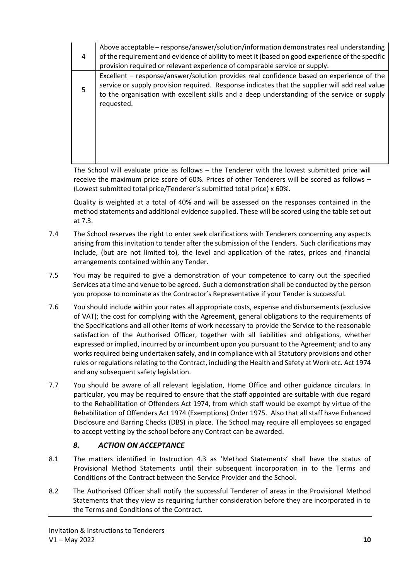| 4 | Above acceptable – response/answer/solution/information demonstrates real understanding<br>of the requirement and evidence of ability to meet it (based on good experience of the specific<br>provision required or relevant experience of comparable service or supply.                                |
|---|---------------------------------------------------------------------------------------------------------------------------------------------------------------------------------------------------------------------------------------------------------------------------------------------------------|
| 5 | Excellent – response/answer/solution provides real confidence based on experience of the<br>service or supply provision required. Response indicates that the supplier will add real value<br>to the organisation with excellent skills and a deep understanding of the service or supply<br>requested. |
|   |                                                                                                                                                                                                                                                                                                         |

The School will evaluate price as follows – the Tenderer with the lowest submitted price will receive the maximum price score of 60%. Prices of other Tenderers will be scored as follows – (Lowest submitted total price/Tenderer's submitted total price) x 60%.

Quality is weighted at a total of 40% and will be assessed on the responses contained in the method statements and additional evidence supplied. These will be scored using the table set out at 7.3.

- 7.4 The School reserves the right to enter seek clarifications with Tenderers concerning any aspects arising from this invitation to tender after the submission of the Tenders. Such clarifications may include, (but are not limited to), the level and application of the rates, prices and financial arrangements contained within any Tender.
- 7.5 You may be required to give a demonstration of your competence to carry out the specified Services at a time and venue to be agreed. Such a demonstration shall be conducted by the person you propose to nominate as the Contractor's Representative if your Tender is successful.
- 7.6 You should include within your rates all appropriate costs, expense and disbursements (exclusive of VAT); the cost for complying with the Agreement, general obligations to the requirements of the Specifications and all other items of work necessary to provide the Service to the reasonable satisfaction of the Authorised Officer, together with all liabilities and obligations, whether expressed or implied, incurred by or incumbent upon you pursuant to the Agreement; and to any works required being undertaken safely, and in compliance with all Statutory provisions and other rules or regulations relating to the Contract, including the Health and Safety at Work etc. Act 1974 and any subsequent safety legislation.
- 7.7 You should be aware of all relevant legislation, Home Office and other guidance circulars. In particular, you may be required to ensure that the staff appointed are suitable with due regard to the Rehabilitation of Offenders Act 1974, from which staff would be exempt by virtue of the Rehabilitation of Offenders Act 1974 (Exemptions) Order 1975. Also that all staff have Enhanced Disclosure and Barring Checks (DBS) in place. The School may require all employees so engaged to accept vetting by the school before any Contract can be awarded.

## *8. ACTION ON ACCEPTANCE*

- 8.1 The matters identified in Instruction 4.3 as 'Method Statements' shall have the status of Provisional Method Statements until their subsequent incorporation in to the Terms and Conditions of the Contract between the Service Provider and the School.
- 8.2 The Authorised Officer shall notify the successful Tenderer of areas in the Provisional Method Statements that they view as requiring further consideration before they are incorporated in to the Terms and Conditions of the Contract.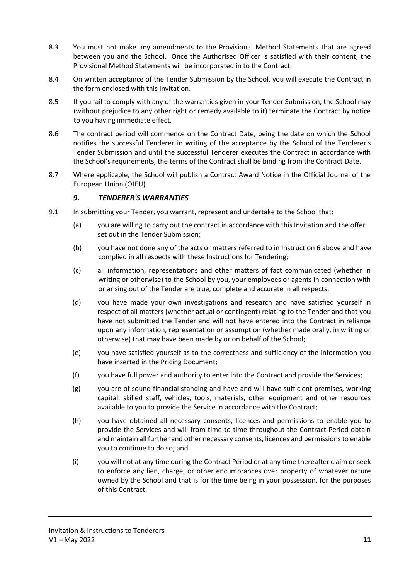- 8.3 You must not make any amendments to the Provisional Method Statements that are agreed between you and the School. Once the Authorised Officer is satisfied with their content, the Provisional Method Statements will be incorporated in to the Contract.
- 8.4 On written acceptance of the Tender Submission by the School, you will execute the Contract in the form enclosed with this Invitation.
- 8.5 If you fail to comply with any of the warranties given in your Tender Submission, the School may (without prejudice to any other right or remedy available to it) terminate the Contract by notice to you having immediate effect.
- 8.6 The contract period will commence on the Contract Date, being the date on which the School notifies the successful Tenderer in writing of the acceptance by the School of the Tenderer's Tender Submission and until the successful Tenderer executes the Contract in accordance with the School's requirements, the terms of the Contract shall be binding from the Contract Date.
- 8.7 Where applicable, the School will publish a Contract Award Notice in the Official Journal of the European Union (OJEU).

#### *9. TENDERER'S WARRANTIES*

- 9.1 In submitting your Tender, you warrant, represent and undertake to the School that:
	- (a) you are willing to carry out the contract in accordance with this Invitation and the offer set out in the Tender Submission;
	- (b) you have not done any of the acts or matters referred to in Instruction 6 above and have complied in all respects with these Instructions for Tendering;
	- (c) all information, representations and other matters of fact communicated (whether in writing or otherwise) to the School by you, your employees or agents in connection with or arising out of the Tender are true, complete and accurate in all respects;
	- (d) you have made your own investigations and research and have satisfied yourself in respect of all matters (whether actual or contingent) relating to the Tender and that you have not submitted the Tender and will not have entered into the Contract in reliance upon any information, representation or assumption (whether made orally, in writing or otherwise) that may have been made by or on behalf of the School;
	- (e) you have satisfied yourself as to the correctness and sufficiency of the information you have inserted in the Pricing Document;
	- (f) you have full power and authority to enter into the Contract and provide the Services;
	- (g) you are of sound financial standing and have and will have sufficient premises, working capital, skilled staff, vehicles, tools, materials, other equipment and other resources available to you to provide the Service in accordance with the Contract;
	- (h) you have obtained all necessary consents, licences and permissions to enable you to provide the Services and will from time to time throughout the Contract Period obtain and maintain all further and other necessary consents, licences and permissions to enable you to continue to do so; and
	- (i) you will not at any time during the Contract Period or at any time thereafter claim or seek to enforce any lien, charge, or other encumbrances over property of whatever nature owned by the School and that is for the time being in your possession, for the purposes of this Contract.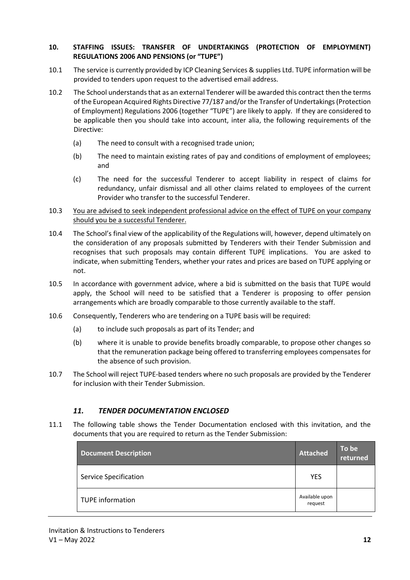#### **10. STAFFING ISSUES: TRANSFER OF UNDERTAKINGS (PROTECTION OF EMPLOYMENT) REGULATIONS 2006 AND PENSIONS (or "TUPE")**

- 10.1 The service is currently provided by ICP Cleaning Services & supplies Ltd. TUPE information will be provided to tenders upon request to the advertised email address.
- 10.2 The School understands that as an external Tenderer will be awarded this contract then the terms of the European Acquired Rights Directive 77/187 and/or the Transfer of Undertakings (Protection of Employment) Regulations 2006 (together "TUPE") are likely to apply. If they are considered to be applicable then you should take into account, inter alia, the following requirements of the Directive:
	- (a) The need to consult with a recognised trade union;
	- (b) The need to maintain existing rates of pay and conditions of employment of employees; and
	- (c) The need for the successful Tenderer to accept liability in respect of claims for redundancy, unfair dismissal and all other claims related to employees of the current Provider who transfer to the successful Tenderer.
- 10.3 You are advised to seek independent professional advice on the effect of TUPE on your company should you be a successful Tenderer.
- 10.4 The School's final view of the applicability of the Regulations will, however, depend ultimately on the consideration of any proposals submitted by Tenderers with their Tender Submission and recognises that such proposals may contain different TUPE implications. You are asked to indicate, when submitting Tenders, whether your rates and prices are based on TUPE applying or not.
- 10.5 In accordance with government advice, where a bid is submitted on the basis that TUPE would apply, the School will need to be satisfied that a Tenderer is proposing to offer pension arrangements which are broadly comparable to those currently available to the staff.
- 10.6 Consequently, Tenderers who are tendering on a TUPE basis will be required:
	- (a) to include such proposals as part of its Tender; and
	- (b) where it is unable to provide benefits broadly comparable, to propose other changes so that the remuneration package being offered to transferring employees compensates for the absence of such provision.
- 10.7 The School will reject TUPE-based tenders where no such proposals are provided by the Tenderer for inclusion with their Tender Submission.

#### *11. TENDER DOCUMENTATION ENCLOSED*

11.1 The following table shows the Tender Documentation enclosed with this invitation, and the documents that you are required to return as the Tender Submission:

| <b>Document Description</b>  | <b>Attached</b>           | To be<br>returned |
|------------------------------|---------------------------|-------------------|
| <b>Service Specification</b> | <b>YES</b>                |                   |
| <b>TUPE information</b>      | Available upon<br>request |                   |